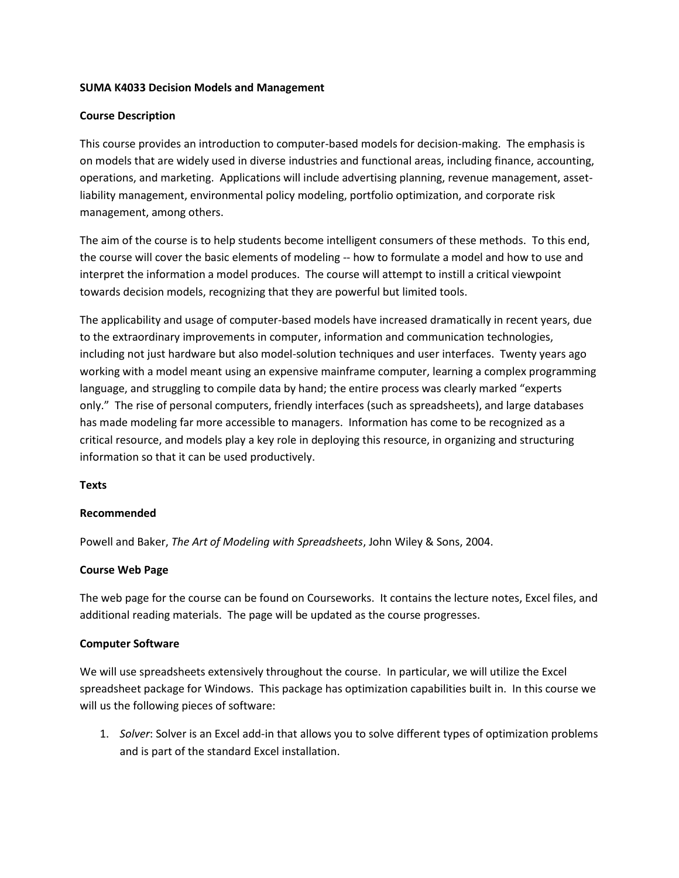### **SUMA K4033 Decision Models and Management**

### **Course Description**

This course provides an introduction to computer-based models for decision-making. The emphasis is on models that are widely used in diverse industries and functional areas, including finance, accounting, operations, and marketing. Applications will include advertising planning, revenue management, assetliability management, environmental policy modeling, portfolio optimization, and corporate risk management, among others.

The aim of the course is to help students become intelligent consumers of these methods. To this end, the course will cover the basic elements of modeling -- how to formulate a model and how to use and interpret the information a model produces. The course will attempt to instill a critical viewpoint towards decision models, recognizing that they are powerful but limited tools.

The applicability and usage of computer-based models have increased dramatically in recent years, due to the extraordinary improvements in computer, information and communication technologies, including not just hardware but also model-solution techniques and user interfaces. Twenty years ago working with a model meant using an expensive mainframe computer, learning a complex programming language, and struggling to compile data by hand; the entire process was clearly marked "experts only." The rise of personal computers, friendly interfaces (such as spreadsheets), and large databases has made modeling far more accessible to managers. Information has come to be recognized as a critical resource, and models play a key role in deploying this resource, in organizing and structuring information so that it can be used productively.

## **Texts**

### **Recommended**

Powell and Baker, *The Art of Modeling with Spreadsheets*, John Wiley & Sons, 2004.

## **Course Web Page**

The web page for the course can be found on Courseworks. It contains the lecture notes, Excel files, and additional reading materials. The page will be updated as the course progresses.

### **Computer Software**

We will use spreadsheets extensively throughout the course. In particular, we will utilize the Excel spreadsheet package for Windows. This package has optimization capabilities built in. In this course we will us the following pieces of software:

1. *Solver*: Solver is an Excel add-in that allows you to solve different types of optimization problems and is part of the standard Excel installation.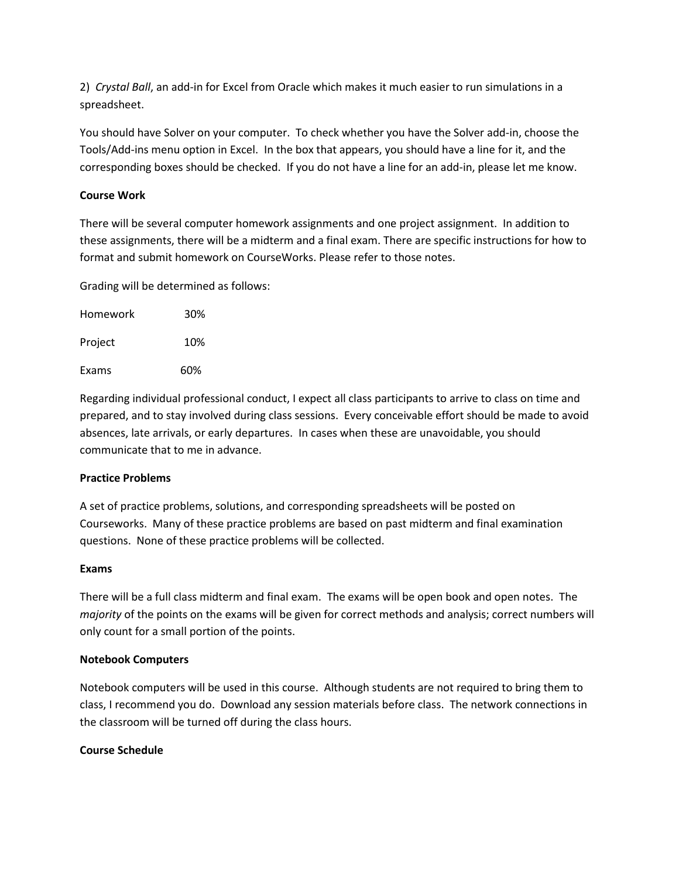2) *Crystal Ball*, an add-in for Excel from Oracle which makes it much easier to run simulations in a spreadsheet.

You should have Solver on your computer. To check whether you have the Solver add-in, choose the Tools/Add-ins menu option in Excel. In the box that appears, you should have a line for it, and the corresponding boxes should be checked. If you do not have a line for an add-in, please let me know.

# **Course Work**

There will be several computer homework assignments and one project assignment. In addition to these assignments, there will be a midterm and a final exam. There are specific instructions for how to format and submit homework on CourseWorks. Please refer to those notes.

Grading will be determined as follows:

| Homework | 30% |
|----------|-----|
| Project  | 10% |
| Exams    | 60% |

Regarding individual professional conduct, I expect all class participants to arrive to class on time and prepared, and to stay involved during class sessions. Every conceivable effort should be made to avoid absences, late arrivals, or early departures. In cases when these are unavoidable, you should communicate that to me in advance.

## **Practice Problems**

A set of practice problems, solutions, and corresponding spreadsheets will be posted on Courseworks. Many of these practice problems are based on past midterm and final examination questions. None of these practice problems will be collected.

## **Exams**

There will be a full class midterm and final exam. The exams will be open book and open notes. The *majority* of the points on the exams will be given for correct methods and analysis; correct numbers will only count for a small portion of the points.

## **Notebook Computers**

Notebook computers will be used in this course. Although students are not required to bring them to class, I recommend you do. Download any session materials before class. The network connections in the classroom will be turned off during the class hours.

## **Course Schedule**